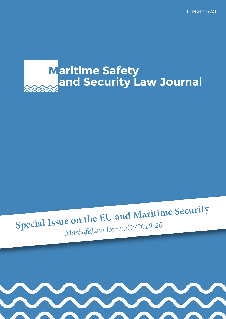# **Maritime Safety** and Security Law Journal

# **Special Issue on the EU and Maritime Security** *MarSafeLaw Journal 7/2019-20*

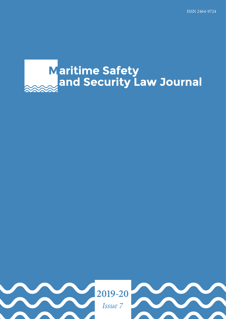# **Maritime Safety<br>and Security Law Journal**

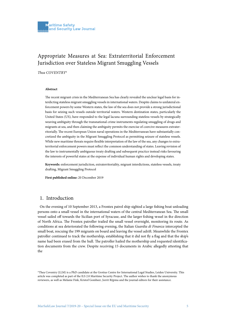# Appropriate Measures at Sea: Extraterritorial Enforcement Jurisdiction over Stateless Migrant Smuggling Vessels

*Thea COVENTRY\**

#### **Abstract**

The recent migrant crisis in the Mediterranean Sea has clearly revealed the unclear legal basis for interdicting stateless migrant smuggling vessels in international waters. Despite claims to unilateral enforcement powers by some Western states, the law of the sea does not provide a strong jurisdictional basis for seizing such vessels outside territorial waters. Western destination states, particularly the United States (US), have responded to the legal lacuna surrounding stateless vessels by strategically weaving ambiguity through the transnational crime instruments regulating smuggling of drugs and migrants at sea, and then claiming the ambiguity permits the exercise of coercive measures extraterritorially. The recent European Union naval operations in the Mediterranean have substantially concretized the ambiguity in the Migrant Smuggling Protocol as permitting seizure of stateless vessels. While new maritime threats require flexible interpretation of the law of the sea, any changes to extraterritorial enforcement powers must reflect the common understanding of states. Leaving revision of the law to instrumentally ambiguous treaty drafting and subsequent practice instead risks favouring the interests of powerful states at the expense of individual human rights and developing states.

**Keywords:** enforcement jurisdiction, extraterritoriality, migrant interdictions, stateless vessels, treaty drafting, Migrant Smuggling Protocol

**First published online:** 20 December 2019

# 1. Introduction

On the evening of 10 September 2013, a Frontex patrol ship sighted a large fishing boat unloading persons onto a small vessel in the international waters of the central Mediterranean Sea. The small vessel sailed off towards the Sicilian port of Syracuse, and the larger fishing vessel in the direction of North Africa. The Frontex patroller trailed the small vessel overnight, monitoring its route. As conditions at sea deteriorated the following evening, the Italian *Guardia di Finanza* intercepted the small boat, rescuing the 199 migrants on board and leaving the vessel adrift. Meanwhile the Frontex patroller continued to track the mothership, establishing that it did not fly a flag and that the ship's name had been erased from the hull. The patroller hailed the mothership and requested identification documents from the crew. Despite receiving 15 documents in Arabic allegedly attesting that the

<sup>\*</sup>Thea Coventry (LLM) is a PhD candidate at the Grotius Centre for International Legal Studies, Leiden University. This article was completed as part of the ILS 2.0 Maritime Security Project. The author wishes to thank the anonymous reviewers, as well as Melanie Fink, Kristof Gombeer, Jorrit Rijpma and the journal editors for their assistance.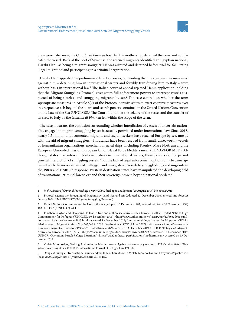crew were fishermen, the *Guardia di Finanza* boarded the mothership, detained the crew and confiscated the vessel. Back at the port of Syracuse, the rescued migrants identified an Egyptian national, Harabi Hani, as being a migrant smuggler. He was arrested and detained before trial for facilitating illegal migration and participating in a criminal organization.

Harabi Hani appealed the preliminary detention order, contending that the coercive measures used against him – detaining him in international waters and forcibly transferring him to Italy – were without basis in international law.<sup>1</sup> The Italian court of appeal rejected Hani's application, holding that the Migrant Smuggling Protocol gives states full enforcement powers to intercept vessels suspected of being stateless and smuggling migrants by sea.<sup>2</sup> The case centred on whether the term 'appropriate measures' in Article 8(7) of the Protocol permits states to exert coercive measures over intercepted vessels beyond the board and search powers contained in the United Nations Convention on the Law of the Sea (UNCLOS).<sup>3</sup> The Court found that the seizure of the vessel and the transfer of its crew to Italy by the *Guardia di Finanza* fell within the scope of the term.

The case illustrates the confusion surrounding whether interdiction of vessels of uncertain nationality engaged in migrant smuggling by sea is actually permitted under international law. Since 2015, nearly 1.5 million undocumented migrants and asylum seekers have reached Europe by sea, mostly with the aid of migrant smugglers.<sup>4</sup> Thousands have been rescued from small, unseaworthy vessels by humanitarian organizations, merchant or naval ships, including Frontex, Mare Nostrum and the European Union-led mission European Union Naval Force Mediterranean (EUNAVFOR MED). Although states may intercept boats in distress in international waters, these powers do not permit general interdiction of smuggling vessels.<sup>5</sup> But the lack of legal enforcement options only became apparent with the increased use of unflagged and unregistered vessels to smuggle drugs and migrants in the 1980s and 1990s. In response, Western destination states have manipulated the developing field of transnational criminal law to expand their sovereign powers beyond national borders.6

<sup>1</sup> *In the Matter of Criminal Proceedings against Hani,* final appeal judgment (20 August 2014) No 36052/2015.

<sup>2</sup> Protocol against the Smuggling of Migrants by Land, Sea and Air (adopted 12 December 2000, entered into force 28 January 2004) 2241 UNTS 507 ('Migrant Smuggling Protocol').

<sup>3</sup> United Nations Convention on the Law of the Sea (adopted 10 December 1982, entered into force 16 November 1994) 1833 UNTS 3 ('UNCLOS') art 110.

<sup>4</sup> Jonathan Clayton and Hereward Holland, 'Over one million sea arrivals reach Europe in 2015' (United Nations High Commissioner for Refugees ('UNHCR'), 30 December 2015) <http://www.unhcr.org/news/latest/2015/12/5683d0b56/million-sea-arrivals-reach-europe-2015.html> accessed 13 December 2019; International Organization for Migration ('IOM'), 'Mediterranean Migrant Arrivals Top 363,348 in 2016: Deaths at Sea: 5079' (1 June 2017) <https://www.iom.int/news/mediterranean-migrant-arrivals-top-363348-2016-deaths-sea-5079> accessed 13 December 2019; UNHCR, 'Refugees & Migrants Arrivals to Europe in 2017' (2017) <https://data2.unhcr.org/es/documents/download/62023> accessed 13 December 2019; UNHCR, 'Operations Portal: Refugee Situations' <https://data2.unhcr.org/en/situations/mediterranean> accessed on 13 December 2019.

<sup>5</sup> Violeta Moreno-Lax, 'Seeking Asylum in the Mediterranean: Against a fragmentary reading of EU Member States' Obligations Accruing at Sea' (2011) 23 International Journal of Refugee Law 174176.

<sup>6</sup> Douglas Guilfoyle, 'Transnational Crime and the Rule of Law at Sea' in Violeta Moreno-Lax and Efthymios Papastavridis (eds), *Boat Refugees' and Migrants at Sea* (Brill 2016) 189.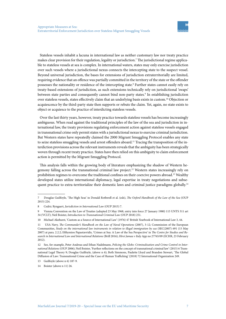Stateless vessels inhabit a lacuna in international law as neither customary law nor treaty practice makes clear provision for their regulation, legality or jurisdiction.7 The jurisdictional regime applicable to stateless vessels at sea is complex. In international waters, states may only exercise jurisdiction over such vessels where a jurisdictional nexus connects the intercepting state to the suspect vessel. Beyond universal jurisdiction, the bases for extensions of jurisdiction extraterritorially are limited, requiring evidence that an offence was partially committed in the territory of the state or the offender possesses the nationality or residence of the intercepting state.8 Further states cannot easily rely on treaty-based extensions of jurisdiction, as such extensions technically rely on jurisdictional 'swaps' between state parties and consequently cannot bind non-party states.<sup>9</sup> In establishing jurisdiction over stateless vessels, states effectively claim that an underlying basis exists in custom.10 Objection or acquiescence by the third-party state then supports or rebuts the claim. Yet, again, no state exists to object or acquiesce to the practice of interdicting stateless vessels.

Over the last thirty years, however, treaty practice towards stateless vessels has become increasingly ambiguous. When read against the traditional principles of the law of the sea and jurisdiction in international law, the treaty provisions regulating enforcement action against stateless vessels engaged in transnational crime only permit states with a jurisdictional nexus to exercise criminal jurisdiction. But Western states have repeatedly claimed the 2000 Migrant Smuggling Protocol enables any state to seize stateless smuggling vessels and arrest offenders aboard.<sup>11</sup> Tracing the transposition of the interdiction provisions across the relevant instruments reveals that the ambiguity has been strategically woven through recent treaty practice. States have then relied on this ambiguity to claim enforcement action is permitted by the Migrant Smuggling Protocol.

This analysis falls within the growing body of literature emphasizing the shadow of Western hegemony falling across the transnational criminal law project.<sup>12</sup> Western states increasingly rely on prohibition regimes to overcome the traditional confines on their coercive powers abroad.<sup>13</sup> Wealthy developed states utilize international diplomacy, legal expertise in treaty negotiations and subsequent practice to extra-territorialize their domestic laws and criminal justice paradigms globally.<sup>14</sup>

<sup>7</sup> Douglas Guilfoyle, 'The High Seas' in Donald Rothwell et al. (eds), *The Oxford Handbook of the Law of the Sea* (OUP 2015) 224.

<sup>8</sup> Cedric Ryngaert, *Jurisdiction in International Law* (OUP 2015) 7.

<sup>9</sup> Vienna Convention on the Law of Treaties (adopted 23 May 1968, entry into force 27 January 1980) 115 UNTS 311 art 34 (VCLT); Neil Boister, *Introduction to Transnational Criminal Law* (OUP 2018) 251.

<sup>10</sup> Michael Akehurst, 'Custom as a Source of International Law' (1976) 47 British Yearbook of International Law 3, 44.

<sup>11</sup> USA Navy, *The Commander's Handbook on the Law of Naval Operations* (2007), 3-12; Commission of the European Communities, *Study on the international law instruments in relation to illegal immigration by sea* (SEC(2007) 691 (15 May 2007) at para. 2.2.2; Efthymios Papastavridis, 'Crimes at Sea: A Law of the Sea Perspective' in *The Centre for Studies and Research in International Law and International Relations* (Brill 2016); *Hirsi Jamaa v Italy* App no 27765/09 (ECHR, 23 February 2012).

<sup>12</sup> See, for example, Peter Andreas and Ethan Nadelmann, *Policing the Globe: Criminalization and Crime Control in International Relations* (OUP 2006); Neil Boister, 'Further reflections on the concept of transnational criminal law' (2015) 6 Transnational Legal Theory 9; Douglas Guilfoyle, (above n 6); Beth Simmons, Paulette Lloyd and Brandon Stewart, 'The Global Diffusion of Law: Transnational Crime and the Case of Human Trafficking' (2018) 72 International Organization 249.

<sup>13</sup> Guilfoyle (above n 6) 187-9.

<sup>14</sup> Boister (above n 11) 26.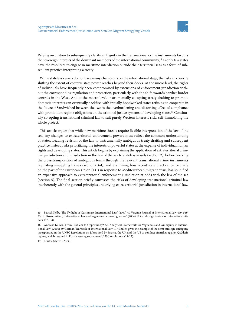Relying on custom to subsequently clarify ambiguity in the transnational crime instruments favours the sovereign interests of the dominant members of the international community,<sup>15</sup> as only few states have the resources to engage in maritime interdiction outside their territorial seas as a form of subsequent practice interpreting a treaty.

While stateless vessels do not have many champions on the international stage, the risks in covertly shifting the extent of coercive state power reaches beyond their decks. At the micro level, the rights of individuals have frequently been compromised by extensions of enforcement jurisdiction without the corresponding regulation and protection, particularly with the shift towards harsher border controls in the West. And at the macro level, instrumentally co-opting treaty drafting to promote domestic interests can eventually backfire, with initially hoodwinked states refusing to cooperate in the future.16 Sandwiched between the two is the overburdening and distorting effect of compliance with prohibition regime obligations on the criminal justice systems of developing states.<sup>17</sup> Continually co-opting transnational criminal law to suit purely Western interests risks self-immolating the whole project.

This article argues that while new maritime threats require flexible interpretation of the law of the sea, any changes to extraterritorial enforcement powers must reflect the common understanding of states. Leaving revision of the law to instrumentally ambiguous treaty drafting and subsequent practice instead risks prioritizing the interests of powerful states at the expense of individual human rights and developing states. This article begins by explaining the application of extraterritorial criminal jurisdiction and jurisdiction in the law of the sea to stateless vessels (section 2), before tracking the cross-transposition of ambiguous terms through the relevant transnational crime instruments regulating smuggling by sea (sections 3-4), and examining how recent state practice, particularly on the part of the European Union (EU) in response to Mediterranean migrant crisis, has solidified an expansive approach to extraterritorial enforcement jurisdiction at odds with the law of the sea (section 5). The final section briefly canvasses the risks of developing transnational criminal law incoherently with the general principles underlying extraterritorial jurisdiction in international law.

<sup>15</sup> Patrick Kelly, 'The Twilight of Customary International Law' (2000) 40 Virginia Journal of International Law 449, 519; Martti Koskenniemi, 'International law and hegemony: a reconfiguration' (2004) 17 Cambridge Review of International Affairs 197, 198.

<sup>16</sup> Andreas Kulick, 'From Problem to Opportunity? An Analytical Framework for Vagueness and Ambiguity in International Law' (2016) 59 German Yearbook of International Law 1, 7: Kulick gives the example of the semi-strategic ambiguity incorporated in the UNSC Resolutions on Libya used by France, the UK and the US to conduct airstrikes against Qaddafi's regime, which resulted in Russia vetoing subsequent UNSC resolutions (21-22).

<sup>17</sup> Boister (above n 9) 38.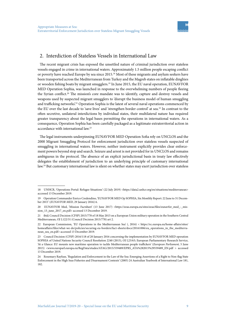## 2. Interdiction of Stateless Vessels in International Law

The recent migrant crisis has exposed the unsettled nature of criminal jurisdiction over stateless vessels engaged in crime in international waters. Approximately 1.5 million people escaping conflict or poverty have reached Europe by sea since 2015.18 Most of these migrants and asylum seekers have been transported across the Mediterranean from Turkey and the Magreb states on inflatable dinghies or wooden fishing boats by migrant smugglers.19 In June 2015, the EU naval operation, EUNAVFOR MED Operation Sophia, was launched in response to the overwhelming numbers of people fleeing the Syrian conflict.20 The mission's core mandate was to identify, capture and destroy vessels and weapons used by suspected migrant smugglers to 'disrupt the business model of human smuggling and trafficking networks'.<sup>21</sup> Operation Sophia is the latest of several naval operations commenced by the EU over the last decade to 'save lives' and 'strengthen border control' at sea.22 In contrast to the often secretive, unilateral interdictions by individual states, their multilateral nature has required greater transparency about the legal bases permitting the operations in international waters. As a consequence, Operation Sophia has been carefully packaged as a legitimate extraterritorial action in accordance with international law.23

The legal instruments underpinning EUNAVFOR MED Operation Sofia rely on UNCLOS and the 2000 Migrant Smuggling Protocol for enforcement jurisdiction over stateless vessels suspected of smuggling in international waters. However, neither instrument explicitly provides clear enforcement powers beyond stop and search. Seizure and arrest is not provided for in UNCLOS and remains ambiguous in the protocol. The absence of an explicit jurisdictional basis in treaty law effectively delegates the establishment of jurisdiction to an underlying principle of customary international law.24 But customary international law is silent on whether states may exert jurisdiction over stateless

<sup>18</sup> UNHCR, 'Operations Portal: Refugee Situations' (22 July 2019) <https://data2.unhcr.org/en/situations/mediterranean> accessed 13 December 2019.

<sup>19</sup> Operation Commander Enrico Credendino, 'EUNAVFOR MED Op SOPHIA, Six Monthly Report: 22 June to 31 December 2015' (*EUNAVFOR MED*, 29 January 2016) 6.

<sup>20</sup> EUNAVFOR Med, 'Mission Factsheet' (13 June 2017) <https://eeas.europa.eu/sites/eeas/files/eunavfor\_med\_-\_mission\_13\_june\_2017\_en.pdf> accessed 13 December 2019.

<sup>21</sup> ibid; Council Decision (CFSP) 2015/778 of 18 May 2015 on a European Union military operation in the Southern Central Mediterranean, OJ L122/31 (Council Decision 2015/778) art 2.

<sup>22</sup> European Commission, *'*EU Operations in the Mediterranean Sea' (, 2016) < https://ec.europa.eu/home-affairs/sites/ homeaffairs/files/what-we-do/policies/securing-eu-borders/fact-sheets/docs/20161006/eu\_operations\_in\_the\_mediterranean\_sea\_en.pdf> accessed 13 December 2019.

<sup>23</sup> Council Decision (CFSP) 2016/118 of 20 January 2016 concerning the implementation by EUNAVFOR MED operation SOPHIA of United Nations Security Council Resolution 2240 (2015), OJ L23/63; European Parliamentary Research Service, 'At a Glance: EU mounts new maritime operation to tackle Mediterranean people traffickers' (*European Parliament,* 5 June 2015) <www.europarl.europa.eu/RegData/etudes/ATAG/2015/559489/EPRS\_ATA%282015%29559489\_EN.pdf > accessed 13 December 2019.

<sup>24</sup> Rosemary Rayfuse, 'Regulation and Enforcement in the Law of the Sea: Emerging Assertions of a Right to Non-flag State Enforcement in the High Seas Fisheries and Disarmament Contexts' (2005) 24 Australian Yearbook of International Law 181, 182.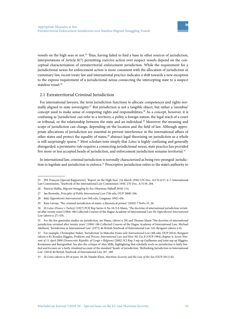vessels on the high seas or not.<sup>25</sup> Thus, having failed to find a base in other sources of jurisdiction, interpretations of Article 8(7) permitting coercive action over suspect vessels depend on the conceptual characterization of extraterritorial enforcement jurisdiction. While the requirement for a jurisdictional nexus for enforcement action is more consistent with the allocation of jurisdiction in customary law, recent treaty law and international practice indicates a shift towards a new exception to the express requirement of a jurisdictional nexus connecting the intercepting state to a suspect stateless vessel.<sup>26</sup>

#### 2.1 Extraterritorial Criminal Jurisdiction

For international lawyers, the term jurisdiction functions to allocate competences and rights normally aligned to state sovereignty.<sup>27</sup> But jurisdiction is not a tangible object, but rather a 'omnibus' concept used to make sense of competing rights and responsibilities.<sup>28</sup> As a concept, however, it is confusing as 'jurisdiction' can refer to a territory, a polity, a foreign nation, the legal reach of a court or tribunal, or the relationship between the state and an individual.<sup>29</sup> Moreover the meaning and scope of jurisdiction can change, depending on the location and the field of law. Although appropriate allocations of jurisdiction are essential to prevent interference in the international affairs of other states and protect the equality of states,<sup>30</sup> abstract legal theorizing on jurisdiction as a whole is still surprisingly sparse.<sup>31</sup> Most scholars note simply that *Lotus* is highly confusing and generally disregarded, a permissive rule requires a connecting jurisdictional nexus, state practice has provided five more or less accepted heads of jurisdiction, and enforcement jurisdiction remains territorial.<sup>32</sup>

In international law, criminal jurisdiction is normally characterized as being two-pronged: jurisdiction to legislate and jurisdiction to enforce.33 Prescriptive jurisdiction refers to the state's authority to

33 *SS Lotus* (above n 29) at para. 18-20; Natalie Klein, *Maritime Security and the Law of the Sea* (OUP 2011) 62.

<sup>25</sup> JPA François (Special Rapporteur), 'Report on the High Seas' (16 March 1950) UN Doc. A/CN.4/17, 6-7; International Law Commission, 'Yearbook of the International Law Commission 1956', UN Doc. A/3159, 284.

<sup>26</sup> Patricia Mallia, *Migrant Smuggling by Sea* (Martinus Nijhoff 2010) 114.

<sup>27</sup> Ian Brownlie, *Principles of Public International Law* (7th edn, OUP 2008) 106.

<sup>28</sup> ibid; *Oppenheim's International Law* (9th edn, Longman 1992) 456.

<sup>29</sup> Rain Liivoja, 'The criminal jurisdiction of states: a theoretical primer' (2010) 7 NoFo 25, 26.

<sup>30</sup> *SS Lotus (France v Turkey)* [1927] PCIJ Rep Series A No 10; F.A Mann, 'The doctrine of international jurisdiction revisited after twenty years'(1984) 186 Collected Courses of the Hague Academy of International Law 20; *Oppenheim's International Law* (above n 27) 476.

<sup>31</sup> For the few generalist studies on jurisdiction, see Mann, (above n 29) and Thomas Mann 'The doctrine of international jurisdiction revisited after twenty years' (1984) 186 Collected Courses of the Hague Academy of International Law*;* Michael Akehurst, 'Jurisdiction in International Law' (1973) 46 British Yearbook of International Law 145; Ryngaert (above n 8).

<sup>32</sup> For example, Christopher Staker, 'Jurisdiction' in Malcolm Evans (ed) *International Law* (4th edn, OUP 2014); Ryngaert (above n 8); Rosalyn Higgins, Problems and Process: International Law and How We Use It (OUP 1994) chapter 4; Arrest War*rant of 11 April 2000 (Democratic Republic of Congo v Belgium)* [2002] ICJ Rep 3 sep op Guillaume and joint sep op Higgins, Kooijmans and Buergenthal. See also the critique of Alex Mills, highlighting that scholarly work on jurisdiction is fairly limited and focuses on 'a fairly ritualized account of the standard 'heads' of jurisdiction: 'Rethinking Jurisdiction in International Law' (2014) 84 British Yearbook of International Law 187, 188.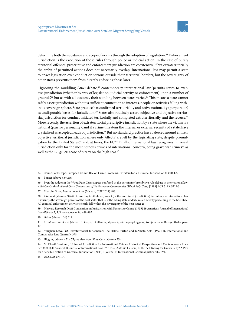determine both the substance and scope of norms through the adoption of legislation.<sup>34</sup> Enforcement jurisdiction is the execution of those rules through police or judicial action. In the case of purely territorial offences, prescriptive and enforcement jurisdiction are coextensive,<sup>35</sup> but extraterritorially the ambit of permitted actions does not necessarily overlap. International law may permit a state to enact legislation over conduct or persons outside their territorial borders, but the sovereignty of other states prevents them from directly enforcing those laws.

Ignoring the muddling *Lotus* debate,<sup>36</sup> contemporary international law 'permits states to exercise jurisdiction (whether by way of legislation, judicial activity or enforcement) upon a number of grounds<sup>'37</sup> but as with all customs, their standing between states varies.<sup>38</sup> This means a state cannot safely assert jurisdiction without a sufficient connection to interests, people or activities falling within its sovereign sphere. State practice has confirmed territoriality and active nationality (perpetrator) as undisputable bases for jurisdiction.<sup>39</sup> States also routinely assert subjective and objective territorial jurisdiction for conduct initiated territorially and completed extraterritorially, and the reverse.<sup>40</sup> More recently, the assertion of extraterritorial prescriptive jurisdiction by a state where the victim is a national (passive personality), and if a crime threatens the internal or external security of a state, have crystalized as accepted heads of jurisdiction.41 But no standard practice has coalesced around entirely objective territorial jurisdiction where only 'effects' are felt by the legislating state, despite promulgation by the United States,<sup>42</sup> and, at times, the EU.<sup>43</sup> Finally, international law recognizes universal jurisdiction only for the most heinous crimes of international concern, being grave war crimes<sup>44</sup> as well as the *sui generis* case of piracy on the high seas.<sup>45</sup>

<sup>34</sup> Council of Europe, European Committee on Crime Problems, Extraterritorial Criminal Jurisdiction (1990) 4-5.

<sup>35</sup> Boister (above n 9) 246.

<sup>36</sup> Even the judges in the Wood Pulp Cases appear confused in the permissive/prohibitive rule debate in international law: *Ahlström Osakeyhtiö and Ors v Commission of the European Communities (Wood Pulp Case)* [1988] ECR 5193, 5212-3.

<sup>37</sup> Malcolm Shaw, *International Law* (7th edn, CUP 2014) 488.

<sup>38</sup> Akehurst (above n 30) 44. According to Akehurst, an act (or the exercise of jurisdiction) is contrary to international law if it usurps the sovereign powers of the host state. That is, if the acting state undertakes an activity pertaining to the host state. All criminal enforcement activities clearly fall within the sovereignty of the host state: 26.

<sup>39</sup> *'*Harvard Research Draft Convention on Jurisdiction with Respect to Crime' (1935) 29 American Journal of International Law 439 arts 3, 5; Shaw (above n 36) 488-497.

<sup>40</sup> Staker (above n 31) 317.

<sup>41</sup> *Arrest Warrants Case*, (above n 31) sep op Guillaume, at para. 4; joint sep op Higgens, Kooijmans and Buergenthal at para. 47.

<sup>42</sup> Vaughan Lowe, 'US Extraterritorial Jurisdiction: The Helms-Burton and D'Amato Acts' (1997) 46 International and Comparative Law Quarterly 378.

<sup>43</sup> Higgins, (above n 31), 75; see also *Wood Pulp Case* (above n 35).

<sup>44</sup> M. Cherif Bassiouni, 'Universal Jurisdiction for International Crimes: Historical Perspectives and Contemporary Practice' (2001) 42 Vanderbilt Journal of International Law, 82, 115-6; Antonio Cassese, 'Is the Bell Tolling for Universality? A Plea for a Sensible Notion of Universal Jurisdiction' (2003) 1 Journal of International Criminal Justice 589, 591.

<sup>45</sup> UNCLOS art 104.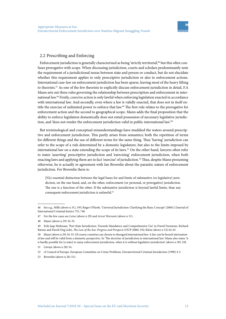#### 2.2 Prescribing and Enforcing

Enforcement jurisdiction is generally characterized as being 'strictly territorial',46 but this often confuses prerogative with scope. When discussing jurisdiction, courts and scholars predominantly note the requirement of a jurisdictional nexus between state and person or conduct, but do not elucidate whether this requirement applies to only prescriptive jurisdiction or also to enforcement actions. International case-law on enforcement jurisdiction has been sparse, leaving most of the heavy lifting to theorists.<sup>47</sup> As one of the few theorists to explicitly discuss enforcement jurisdiction in detail, F.A. Mann sets out three rules governing the relationship between prescription and enforcement in international law.48 Firstly, coercive action is only lawful when enforcing legislation enacted in accordance with international law. And secondly, even where a law is validly enacted, that does not in itself entitle the exercise of unlimited power to enforce that law.49 The first rule relates to the prerogative for enforcement action and the second to geographical scope. Mann adds the final proposition that the ability to enforce legislation domestically does not entail possession of necessary legislative jurisdiction, and 'does not render the enforcement jurisdiction valid in public international law'.<sup>50</sup>

But terminological and conceptual misunderstandings have muddied the waters around prescriptive and enforcement jurisdiction. This partly arises from semantics; both the repetition of terms for different things and the use of different terms for the same thing. Thus 'having' jurisdiction can refer to the scope of a rule determined by a domestic legislature, but also to the limits imposed by international law on a state extending the scope of its laws.<sup>51</sup> On the other hand, lawyers often refer to states 'asserting' prescriptive jurisdiction and 'exercising' enforcement jurisdiction, when both enacting laws and applying them are in fact 'exercise' of jurisdiction.<sup>52</sup> Thus, despite Mann presuming otherwise, he is actually in agreement with Ian Brownlie about the parasitic nature of enforcement jurisdiction. For Brownlie there is:

[N]o essential distinction between the legal bases for and limits of substantive (or legislative) jurisdiction, on the one hand, and, on the other, enforcement (or personal, or prerogative) jurisdiction. The one is a function of the other. If the substantive jurisdiction is beyond lawful limits, than any consequent enforcement jurisdiction is unlawful.<sup>53</sup>

<sup>46</sup> See e.g., Mills (above n 31), 195; Roger O'Keefe, 'Universal Jurisdiction: Clarifying the Basic Concept' (2004) 2 Journal of International Criminal Justice 735, 740.

<sup>47</sup> For the few cases see *Lotus* (above n 29) and *Arrest Warrants* (above n 31).

<sup>48</sup> Mann (above n 29) 34-35.

<sup>49</sup> Erik Jaap Molenaar, 'Port State Jurisdiction: Towards Mandatory and Comprehensive Use' in David Freestone, Richard Barnes and David Ong (eds), *The Law of the Sea: Progress and Prospects* (OUP 2006) 192; Klein (above n 32) 62-63.

<sup>50</sup> Mann (above n 29) 34-35. Of course countries can choose to disregard international law. A law can be breach international law and still be valid from a domestic perspective. In 'The doctrine of jurisdiction in international law', Mann also states 'it is hardly possible for [a state] to enjoy enforcement jurisdiction, when it is without legislative jurisdiction' (above n 30) 128.

<sup>51</sup> Liivoja (above n 28) 54.

<sup>52</sup> cf Council of Europe, European Committee on Crime Problems, Extraterritorial Criminal Jurisdiction (1990) 4-5.

<sup>53</sup> Brownlie (above n 26) 311.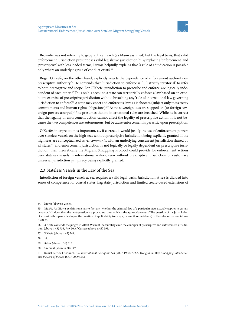Brownlie was not referring to geographical reach (as Mann assumed) but the legal basis; that valid enforcement jurisdiction presupposes valid legislative jurisdiction.<sup>54</sup> By replacing 'enforcement' and 'prescriptive' with less loaded terms, Liivoja helpfully explains that 'a rule of adjudication is possible only where an underlying rule of conduct exists'.55

Roger O'Keefe, on the other hand, explicitly rejects the dependence of enforcement authority on prescriptive authority.56 He contends that 'jurisdiction to enforce is […] strictly territorial' to refer to both prerogative and scope. For O'Keefe, jurisdiction to prescribe and enforce 'are logically independent of each other'.57 Thus on his account, a state can territorially enforce a law based on an exorbitant exercise of prescriptive jurisdiction without breaching any 'rule of international law governing jurisdiction to enforce.<sup>58</sup> A state may enact and enforce its laws as it chooses (subject only to its treaty commitments and human rights obligations).<sup>59</sup> As no sovereign toes are stepped on (or foreign sovereign powers usurped),<sup>60</sup> he presumes that no international rules are breached. While he is correct that the legality of enforcement action cannot affect the legality of prescriptive action, it is not because the two competences are autonomous, but because enforcement is parasitic upon prescription.

O'Keefe's interpretation is important, as, if correct, it would justify the use of enforcement powers over stateless vessels on the high seas without prescriptive jurisdiction being explicitly granted. If the high seas are conceptualized as *res communis*, with an underlying concurrent jurisdiction shared by all states,<sup>61</sup> and enforcement jurisdiction is not logically or legally dependent on prescriptive jurisdiction, then theoretically the Migrant Smuggling Protocol could provide for enforcement actions over stateless vessels in international waters, even without prescriptive jurisdiction or customary universal jurisdiction *qua* piracy being explicitly granted.

#### 2.3 Stateless Vessels in the Law of the Sea

Interdiction of foreign vessels at sea requires a valid legal basis. Jurisdiction at sea is divided into zones of competence for coastal states, flag state jurisdiction and limited treaty-based extensions of

<sup>54</sup> Liiovja (above n 28) 54.

<sup>55</sup> ibid 54. As Liiovja explains one has to first ask 'whether the criminal law of a particular state actually applies to certain behavior. If it does, then the next question is a procedural one: which is the appropriate court? The question of the jurisdiction of a court is thus parasitical upon the question of applicability (or scope, or ambit, or incidence) of the substantive law: (above n 28) 35.

<sup>56</sup> O'Keefe contends the judges in Attest Warrant inaccurately elide the concepts of prescriptive and enforcement jurisdiction: (above n 45) 735, 749-50; cf Cassese (above n 43) 593.

<sup>57</sup> O'Keefe (above n 45) 741.

<sup>58</sup> ibid.

<sup>59</sup> Staker (above n 31) 316.

<sup>60</sup> Akehurst (above n 30) 147.

<sup>61</sup> Daniel Patrick O'Connell, *The International Law of the Sea* (OUP 1982) 792-6; Douglas Guilfoyle, *Shipping Interdiction and the Law of the Sea* (CUP 2009) 342.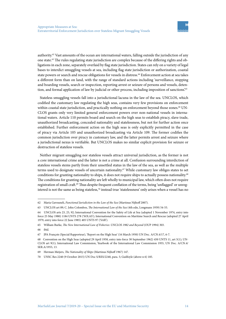authority.62 Vast amounts of the ocean are international waters, falling outside the jurisdiction of any one state.63 The rules regulating state jurisdiction are complex because of the differing rights and obligations in each zone, separately overlaid by flag state jurisdiction. States can rely on a variety of legal bases to interdict smuggling vessels at sea, including flag state jurisdiction or authorization, coastal state powers or search and rescue obligations for vessels in distress.<sup>64</sup> Enforcement action at sea takes a different form than on land, with the range of standard actions including 'surveillance, stopping and boarding vessels, search or inspection, reporting arrest or seizure of persons and vessels, detention, and formal application of law by judicial or other process, including imposition of sanctions'.<sup>65</sup>

Stateless smuggling vessels fall into a jurisdictional lacuna in the law of the sea. UNCLOS, which codified the customary law regulating the high seas, contains very few provisions on enforcement within coastal state jurisdiction, and practically nothing on enforcement beyond those zones.<sup>66</sup> UN-CLOS grants only very limited general enforcement powers over non-national vessels in international waters. Article 110 permits board and search on the high seas to establish piracy, slave trade, unauthorized broadcasting, concealed nationality and statelessness, but not for further action once established. Further enforcement action on the high seas is only explicitly permitted in the case of piracy via Article 105 and unauthorized broadcasting via Article 109. The former codifies the common jurisdiction over piracy in customary law, and the latter permits arrest and seizure where a jurisdictional nexus is verifiable. But UNCLOS makes no similar explicit provision for seizure or destruction of stateless vessels.

Neither migrant smuggling nor stateless vessels attract universal jurisdiction, as the former is not a core international crime and the latter is not a crime at all. Confusion surrounding interdiction of stateless vessels stems partly from their unsettled status in the law of the sea, as well as the multiple terms used to designate vessels of uncertain nationality.<sup>67</sup> While customary law obliges states to set conditions for granting nationality to ships, it does not require ships to actually possess nationality.<sup>68</sup> The conditions for granting nationality are left wholly to municipal law, which often does not require registration of small craft.69 Thus despite frequent conflation of the terms, being 'unflagged' or unregistered is not the same as being stateless,<sup>70</sup> instead true 'statelessness' only arises when a vessel has no

<sup>62</sup> Maria Gavouneli, *Functional Jurisdiction in the Law of the Sea* (Martinus Nijhoff 2007).

<sup>63</sup> UNCLOS art 89; C. John Colombos, *The International Law of the Sea* (4th edn, Longmans 1959) 54-55.

<sup>64</sup> UNCLOS arts 23, 25, 92; International Convention for the Safety of Life at Sea (adopted 1 November 1974, entry into force 25 May 1980) 1184 UNTS 278 ('SOLAS'); International Convention on Maritime Search and Rescue (adopted 27 April 1979, entry into force 22 June 1985) 405 UNTS 97 ('SAR').

<sup>65</sup> William Burke, *The New International Law of Fisheries: UNCLOS 1982 and Beyond* (OUP 1994) 303.

<sup>66</sup> ibid.

<sup>67</sup> JPA François (Special Rapporteur), 'Report on the High Seas' (16 March 1950) UN Doc. A/CN.4/17, 6-7.

<sup>68</sup> Convention on the High Seas (adopted 29 April 1958, entry into force 30 September 1962) 450 UNTS 11, art 5(1); UN-CLOS art 9(1); International Law Commission, Yearbook of the International Law Commission 1955, UN Doc. A/CN.4/ SER.A/1955, 13.

<sup>69</sup> Herman Meijers, *The Nationality of Ships* (Martinus Nijhoff 1967) 147.

<sup>70</sup> UNSC Res 2240 (9 October 2015) UN Doc S/RES/2240, para. 5; Guilfoyle (above n 6) 185.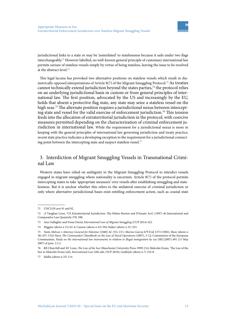jurisdictional links to a state or may be 'assimilated' to statelessness because it sails under two flags interchangeably.<sup>71</sup> However labelled, no well-known general principle of customary international law permits seizure of stateless vessels simply by virtue of being stateless, leaving the issue to be resolved at the abstract level.72

This legal lacuna has provoked two alternative positions on stateless vessels which result in diametrically opposed interpretations of Article 8(7) of the Migrant Smuggling Protocol.73 As treaties cannot technically extend jurisdiction beyond the states parties, $74$  the protocol relies on an underlying jurisdictional basis in custom or from general principles of international law. The first position, advocated by the US and increasingly by the EU, holds that absent a protective flag state, any state may seize a stateless vessel on the high seas.<sup>75</sup> The alternate position requires a jurisdictional nexus between intercepting state and vessel for the valid exercise of enforcement jurisdiction.76 This tension feeds into the allocation of extraterritorial jurisdiction in the protocol, with coercive measures permitted depending on the characterization of criminal enforcement jurisdiction in international law. While the requirement for a jurisdictional nexus is more in keeping with the general principles of international law governing jurisdiction and treaty practice, recent state practice indicates a developing exception to the requirement for a jurisdictional connecting point between the intercepting state and suspect stateless vessel.<sup>77</sup>

# 3. Interdiction of Migrant Smuggling Vessels in Transnational Criminal Law

Western states have relied on ambiguity in the Migrant Smuggling Protocol to interdict vessels engaged in migrant smuggling where nationality is uncertain. Article 8(7) of the protocol permits intercepting states to take 'appropriate measures' over vessels after establishing smuggling and statelessness. But it is unclear whether this refers to the unilateral exercise of criminal jurisdiction or only where alternative jurisdictional bases exist entitling enforcement action, such as coastal state

<sup>71</sup> UNCLOS arts 91 and 92.

<sup>72</sup> cf Vaughan Lowe, 'US Extraterritorial Jurisdiction: The Helms-Burton and D'Amato Acts' (1997) 46 International and Comparative Law Quarterly 378, 388.

<sup>73</sup> Ann Gallagher and Fiona David, *International Law of Migrant Smuggling* (CUP 2014) 422.

<sup>74</sup> Higgins (above n 31) 63-4; Cassese (above n 43) 594; Staker (above n 31) 323.

<sup>75</sup> *Naim Molvan v Attorney-General for Palestine* [1048] AC 351; *US v Marino-Garcia* 679 F.2d 1373 (1982); *Shaw* (above n 36) 457; USA Navy, *The Commander's Handbook on the Law of Naval Operations* (2007), 3-12; Commission of the European Communities, *Study on the international law instruments in relation to illegal immigration by sea* (SEC(2007) 691 (15 May 2007) at para. 2.2.2.

<sup>76</sup> RR Churchill and AV Lowe, *The Law of the Sea* (Manchester University Press 1999) 214; Malcolm Evans, 'The Law of the Sea' in Malcolm Evans (ed), *International Law* (4th edn, OUP 2010); Guilfoyle (above n 7) 216-8.

<sup>77</sup> Mallia (above n 25) 114.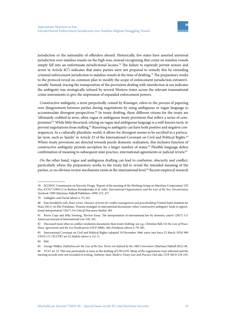jurisdiction or the nationality of offenders aboard. Historically, few states have asserted universal jurisdiction over stateless vessels on the high seas, instead recognizing that crime on stateless vessels simply fell into an unfortunate jurisdictional lacuna.<sup>78</sup> The failure to expressly permit seizure and arrest in Article 8(7) indicates that states parties were not prepared to remedy this by extending criminal enforcement jurisdiction to stateless vessels at the time of drafting.79 The preparatory works to the protocol reveal no common plan to modify the scope of enforcement jurisdiction extraterritorially. Instead, tracing the transposition of the provisions dealing with interdiction at sea indicates the ambiguity was strategically infused by several Western states across the relevant transnational crime instruments to give the impression of expanded enforcement powers.

Constructive ambiguity, a term purportedly coined by Kissinger, refers to the process of papering over disagreement between parties during negotiations by using ambiguous or vague language to accommodate divergent perspectives.<sup>80</sup> In treaty drafting, these different visions for the treaty are 'ultimately codified in terse, often vague or ambiguous treaty provisions that reflect a series of compromises.<sup>81</sup> While little theorized, relying on vague and ambiguous language is a well-known tactic to prevent negotiations from stalling.82 Resorting to ambiguity can have both positive and negative consequences. In a culturally pluralistic world, it allows for divergent norms to be ascribed to a particular term, such as 'family' in Article 23 of the International Covenant on Civil and Political Rights.<sup>83</sup> Where treaty provisions are directed towards purely domestic realization, this inclusive function of constructive ambiguity permits ascription by a larger number of states.<sup>84</sup> Flexible language defers confirmation of meaning to subsequent state practice, international agreements or judicial review.85

On the other hand, vague and ambiguous drafting can lead to confusion, obscurity and conflict, particularly where the preparatory works to the treaty fail to reveal the intended meaning of the parties, or no obvious review mechanism exists at the international level.<sup>86</sup> Recent empirical research

<sup>78</sup> ECOSOC Commission on Narcotic Drugs, 'Report of the meeting of the Working Group on Maritime Cooperation', UN Doc E/CN.7/1995/13 in Barbara Kwiatkowska et al. (eds), *International Organizations and the Law of the Sea: Documentary Yearbook 1999* (Martinus Nijhoff Publishers 1999) 473, 477.

<sup>79</sup> Gallagher and David (above n 72) 245.

<sup>80</sup> Dan Snodderly (ed), *Peace terms: Glossary of terms for conflict management and peacebuilding* (United States Institute for Peace 2011) 16; Elie Friedman, 'Evasion strategies in international documents: when 'constructive ambiguity' leads to oppositional interpretation' (2017) 14 Critical Discourse Studies 385.

<sup>81</sup> Kevin Cope and Mila Versteeg, 'Review Essay: The interpretation of international law by domestic courts' (2017) 111 American Journal of International Law 538, 541.

<sup>82</sup> Discussed more often in conflict resolution documents than treaty drafting: see e.g., Christine Bell, *On the Law of Peace: Peace Agreements and the Lex Pacificatoria* (OUP 2008), 166; Friedman (above n 79) 385.

<sup>83</sup> International Covenant on Civil and Political Rights (adopted 19 December 1966, entry into force 23 March 1976) 999 UNTS 171 ('ICCPR') art 23; Kulick (above n 15) 11.

<sup>84</sup> ibid.

<sup>85</sup> George Walker, *Definitions for the Law of the Sea: Terms not defined by the 1982 Convention* (Martinus Nijhoff 2012) 48.

<sup>86</sup> VCLT art 32. This was particularly at issue in the drafting of UNCLOS. Many of the negotiations were informal and the meeting records were not recorded in writing: Anthony Aust, *Modern Treaty Law and Practice* (3rd edn, CUP 2013) 218-219.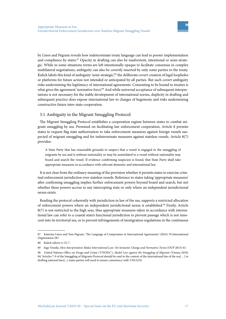by Linos and Pegram reveals how indeterminate treaty language can lead to poorer implementation and compliance by states.<sup>87</sup> Opacity in drafting can also be inadvertent, intentional or semi-strategic. While in some situations terms are left intentionally opaque to facilitate consensus in complex multilateral negotiations, ambiguity can also be covertly inserted by only some parties to the treaty. Kulick labels this kind of ambiguity 'semi-strategic',<sup>88</sup> the deliberate covert creation of legal loopholes or platforms for future action not intended or anticipated by all parties. But such covert ambiguity risks undermining the legitimacy of international agreements. Consenting to be bound to treaties is what gives the agreement 'normative force'.<sup>89</sup> And while universal acceptance of subsequent interpretations is not necessary for the stable development of international norms, duplicity in drafting and subsequent practice does expose international law to charges of hegemony and risks undermining constructive future inter-state cooperation.

#### 3.1 Ambiguity in the Migrant Smuggling Protocol

The Migrant Smuggling Protocol establishes a cooperation regime between states to combat migrant smuggling by sea. Premised on facilitating law enforcement cooperation, Article 8 permits states to request flag state authorization to take enforcement measures against foreign vessels suspected of migrant smuggling and for indeterminate measures against stateless vessels. Article 8(7) provides:

A State Party that has reasonable grounds to suspect that a vessel is engaged in the smuggling of migrants by sea and is without nationality or may be assimilated to a vessel without nationality may board and search the vessel. If evidence confirming suspicion is found, that State Party shall take appropriate measures in accordance with relevant domestic and international law.

It is not clear from the ordinary meaning of the provision whether it permits states to exercise criminal enforcement jurisdiction over stateless vessels. Reference to states taking 'appropriate measures' after confirming smuggling implies further enforcement powers beyond board and search, but not whether these powers accrue to any intercepting state or only where an independent jurisdictional nexus exists.

Reading the protocol coherently with jurisdiction in law of the sea, supports a restricted allocation of enforcement powers where an independent jurisdictional nexus is established.<sup>90</sup> Firstly, Article 8(7) is not restricted to the high seas, thus appropriate measures taken in accordance with international law can refer to a coastal state's functional jurisdiction to prevent passage which is not innocent into its territorial sea, or to prevent infringements of immigration regulations in the continuous

<sup>87</sup> Katerina Linos and Tom Pegram, 'The Language of Compromise in International Agreements' (2016) 70 International Organization 587.

<sup>88</sup> Kulick (above n 15) 7.

<sup>89</sup> Ingo Venzke, *How Interpretation Makes International Law: On Semantic Change and Normative Twists* (OUP 2013) 63.

<sup>90</sup> United Nations Office on Drugs and Crime ('UNODC'), *Model Law against the Smuggling of Migrants* (Vienna 2010) 84: 'Articles 7-9 of the Smuggling of Migrants Protocol should be read in the context of the international law of the sea[…] in drafting national laws[...] states parties will need to ensure consistency with' UNCLOS.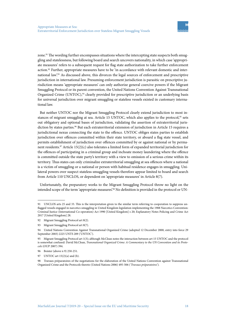zone.<sup>91</sup> The wording further encompasses situations where the intercepting state suspects both smuggling and statelessness, but following board and search uncovers nationality, in which case 'appropriate measures' refers to a subsequent request for flag state authorization to take further enforcement action.92 Further, appropriate measures have to be 'in accordance with relevant domestic and international law'.<sup>93</sup> As discussed above, this divorces the legal sources of enforcement and prescriptive jurisdiction in international law. Presuming enforcement jurisdiction is parasitic on prescriptive jurisdiction means 'appropriate measures' can only authorize general coercive powers if the Migrant Smuggling Protocol or its parent convention, the United Nations Convention Against Transnational Organized Crime (UNTOC),<sup>94</sup> clearly provided for prescriptive jurisdiction or an underlying basis for universal jurisdiction over migrant smuggling or stateless vessels existed in customary international law.

But neither UNTOC nor the Migrant Smuggling Protocol clearly extend jurisdiction to most instances of migrant smuggling at sea. Article 15 UNTOC, which also applies to the protocol,<sup>95</sup> sets out obligatory and optional bases of jurisdiction, validating the assertion of extraterritorial jurisdiction by states parties.<sup>96</sup> But each extraterritorial extension of jurisdiction in Article 15 requires a jurisdictional nexus connecting the state to the offence. UNTOC obliges states parties to establish jurisdiction over offences committed within their state territory, or aboard a flag state vessel, and permits establishment of jurisdiction over offences committed by or against national or by permanent residents.97 Article 15(2)(c) also tolerates a limited form of expanded territorial jurisdiction for the offences of participating in a criminal group and inchoate money laundering where the offence is committed outside the state party's territory with a view to omission of a serious crime within its territory. Thus states can only criminalize extraterritorial smuggling at sea offences where a national is a victim of smuggling or a national or person with habitual residence engages in smuggling. Unilateral powers over suspect stateless smuggling vessels therefore appear limited to board and search from Article 110 UNCLOS, or dependent on 'appropriate measures' in Article 8(7).

Unfortunately, the preparatory works to the Migrant Smuggling Protocol throw no light on the intended scope of the term 'appropriate measures'.<sup>98</sup> No definition is provided in the protocol or UN-

<sup>91</sup> UNCLOS arts 25 and 33. This is the interpretation given to the similar term referring to cooperation to suppress unflagged vessels engaged in narcotics smuggling in United Kingdom legislation implementing the 1988 Narcotics Convention: Criminal Justice (International Co-operation) Act 1990 [United Kingdom] s 20; Explanatory Notes Policing and Crime Act 2017 [United Kingdom] 28.

<sup>92</sup> Migrant Smuggling Protocol art 8(2).

<sup>93</sup> Migrant Smuggling Protocol art 8(7).

<sup>94</sup> United Nations Convention Against Transnational Organized Crime (adopted 12 December 2000, entry into force 29 September 2003) 2225 UNTS 209 ('UNTOC').

<sup>95</sup> Migrant Smuggling Protocol art 1(3); although McClean notes the interaction between art 15 UNTOC and the protocol is somewhat confused: David McClean, *Transnational Organized Crime: A Commentary to the UN Convention and its Protocols* (OUP 2007) 394.

<sup>96</sup> Boister (above n 9) 250-251.

<sup>97</sup> UNTOC art 15(2)(a) and (b).

<sup>98</sup> Travaux préparatoires of the negotiations for the elaboration of the United Nations Convention against Transnational Organized Crime and the Protocols thereto (United Nations 2006) 495-506 (*'Travaux préparatoires*')*.*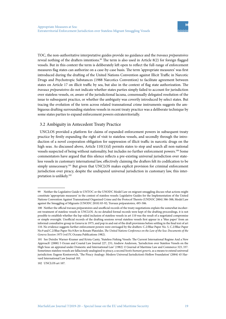TOC, the non-authoritative interpretative guides provide no guidance and the *travaux préparatoires* reveal nothing of the drafters intentions.<sup>99</sup> The term is also used in Article 8(2) for foreign flagged vessels. But in this context the term is deliberately left open to reflect the full-range of enforcement measures flag states can authorize on a case-by-case basis. The term 'appropriate measures' was first introduced during the drafting of the United Nations Convention against Illicit Traffic in Narcotic Drugs and Psychotropic Substances (1988 Narcotics Convention) to facilitate agreement between states on Article 17 on illicit traffic by sea, but also in the context of flag state authorization. The *travaux préparatoires* do not indicate whether states parties simply failed to account for jurisdiction over stateless vessels, or, aware of the jurisdictional lacuna, consensually delegated resolution of the issue to subsequent practice, or whether the ambiguity was covertly introduced by select states. But tracing the evolution of the term across related transnational crime instruments suggests the ambiguous drafting surrounding stateless vessels in recent treaty practice was a deliberate technique by some states parties to expand enforcement powers extraterritorially.

#### 3.2 Ambiguity in Antecedent Treaty Practice

UNCLOS provided a platform for claims of expanded enforcement powers in subsequent treaty practice by firstly expanding the right of visit to stateless vessels, and secondly through the introduction of a novel cooperation obligation for suppression of illicit traffic in narcotic drugs on the high seas. As discussed above, Article 110(1)(d) permits states to stop and search all non-national vessels suspected of being without nationality, but includes no further enforcement powers.100 Some commentators have argued that this silence reflects a pre-existing universal jurisdiction over stateless vessels in customary international law, effectively claiming the drafters felt its codification to be simply unnecessary.<sup>101</sup> But given that UNCLOS makes explicit provision for criminal enforcement jurisdiction over piracy, despite the undisputed universal jurisdiction in customary law, this interpretation is unlikely.102

<sup>99</sup> Neither the Legislative Guide to UNTOC or the UNODC Model Law on migrant smuggling discuss what actions might constitute 'appropriate measures' in the context of stateless vessels: Legislative Guides for the Implementation of the United Nations Convention Against Transnational Organized Crime and the Protocol Thereto (UNDOC 2004) 386-388; Model Law against the Smuggling of Migrants (UNODC 2010) 83-92; Travaux préparatoires*,* 495-506.

<sup>100</sup> Neither the official travaux préparatoires and unofficial records of the treaty negotiations explain the somewhat incoherent treatment of stateless vessels in UNCLOS. As no detailed formal records were kept of the drafting proceedings, it is not possible to establish whether the lop-sided inclusion of stateless vessels in art 110 was the result of a negotiated compromise or simple oversight. Unofficial records of the drafting sessions reveal stateless vessels first appear in a 'blue paper' from an informal consultative group in Geneva in 1975, and pop in and out of the draft provisions before settling in the final text of art 110. No evidence suggests further enforcement powers were envisaged by the drafters: C.2/Blue Paper No. 5, C.2/Blue Paper No.9 and C.2/Blue Paper No.9.Rev in Renate Platzöder, *The United Nations Conference on the Law of the Sea: Documents of the Geneva Session 1975* (vol IV, Oceana Publications 1982).

<sup>101</sup> See Deirdre Warner-Kramer and Krista Canty, 'Stateless Fishing Vessels: The Current International Regime And a New Approach' (2000) 5 Ocean and Coastal Law Journal 227, 231; Andrew Anderson, 'Jurisdiction over Stateless Vessels on the High Seas: an appraisal under Domestic and International Law' (1982) 13 Journal of Maritime Law and Commerce 323, 337. Sometimes stateless vessels are fallaciously analogized to piracy, a second *hostis humani generis,* as a means to extend universal jurisdiction: Eugene Kontorovich, 'The Piracy Analogy: Modern Universal Jurisdiction's Hollow Foundation' (2004) 45 Harvard International Law Journal 183.

<sup>102</sup> UNCLOS art 107.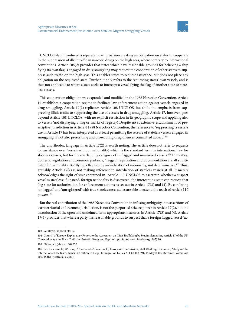UNCLOS also introduced a separate novel provision creating an obligation on states to cooperate in the suppression of illicit traffic in narcotic drugs on the high seas, where contrary to international conventions. Article 108(2) provides that states which have reasonable grounds for believing a ship flying its own flag is engaged in drug smuggling may request the cooperation of other states to suppress such traffic on the high seas. This enables states to request assistance, but does not place any obligation on the requested state. Further, it only refers to the requesting states' own vessels, and is thus not applicable to where a state seeks to intercept a vessel flying the flag of another state or stateless vessels.

This cooperation obligation was expanded and modified in the 1988 Narcotics Convention. Article 17 establishes a cooperation regime to facilitate law enforcement action against vessels engaged in drug smuggling. Article 17(2) replicates Article 108 UNCLOS, but shifts the emphasis from suppressing illicit traffic to suppressing the use of vessels in drug smuggling. Article 17, however, goes beyond Article 108 UNCLOS, with no explicit restriction in its geographic scope and applying also to vessels 'not displaying a flag or marks of registry'. Despite no coextensive establishment of prescriptive jurisdiction in Article 4 1988 Narcotics Convention, the reference to 'suppressing' a vessel's use in Article 17 has been interpreted as at least permitting the seizure of stateless vessels engaged in smuggling, if not also prescribing and prosecuting drug offences committed aboard.<sup>103</sup>

The unorthodox language in Article 17(2) is worth noting. The Article does not refer to requests for assistance over 'vessels without nationality', which is the standard term in international law for stateless vessels, but for the overlapping category of unflagged and unmarked vessels.<sup>104</sup> In treaties, domestic legislation and common parlance, 'flagged', registration and documentation are all substituted for nationality. But flying a flag is only an indication of nationality, not determinative.105 Thus, arguably Article 17(2) is not making reference to interdiction of stateless vessels at all. It merely acknowledges the right of visit contained in Article 110 UNCLOS to ascertain whether a suspect vessel is stateless; if, instead, foreign nationality is discovered, the intercepting state can request that flag state for authorization for enforcement actions as set out in Article 17(3) and (4). By conflating 'unflagged' and 'unregistered' with true statelessness, states are able to extend the reach of Article 110 powers.106

But the real contribution of the 1988 Narcotics Convention in infusing ambiguity into assertions of extraterritorial enforcement jurisdiction, is not the purported seizure power in Article 17(2), but the introduction of the open and undefined term 'appropriate measures' in Article 17(3) and (4). Article 17(3) provides that where a party has reasonable grounds to suspect that a foreign flagged vessel 'ex-

<sup>103</sup> Guilfoyle (above n 60) 17.

<sup>104</sup> Council of Europe, Explanatory Report to the Agreement on Illicit Trafficking by Sea, implementing Article 17 of the UN Convention against Illicit Traffic in Narcotic Drugs and Psychotropic Substances (Strasbourg 1995) 10.

<sup>105</sup> O'Connell (above n 60) 752.

<sup>106</sup> See for example, US Navy, 'Commander's handbook'*;* European Commission, Staff Working Document*, '*Study on the International Law Instruments in Relation to Illegal Immigration by Sea' SEC(2007) 691, 15 May 2007; Maritime Powers Act 2013 (Cth) [Australia] s 21(1).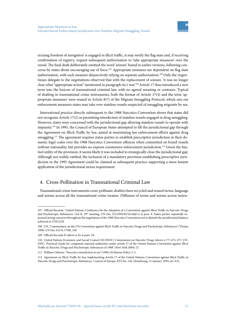ercising freedom of navigation' is engaged in illicit traffic, it may notify the flag state and, if receiving confirmation of registry, request subsequent authorization to 'take appropriate measures' over the vessel. The final draft deliberately omitted the word 'seizure' found in earlier versions, following concerns by states about encouraging use of force.107 Appropriate measures are dependent on flag state authorization, with each measure disjunctively relying on separate authorization.<sup>108</sup> Only the Argentinian delegate to the negotiations observed that with the replacement of seizure, 'it was no longer clear what "appropriate action" mentioned in paragraph  $4(c)$  was.<sup>109</sup> Article 17 thus introduced a new term into the lexicon of transnational criminal law, with no agreed meaning or contours. Typical of drafting in transnational crime instruments, both the format of Article 17(4) and the term 'appropriate measures' were reused in Article 8(7) of the Migrant Smuggling Protocol, which sets out enforcement measures states may take over stateless vessels suspected of smuggling migrants by sea.

International practice directly subsequent to the 1988 Narcotics Convention shows that states did not recognize Article 17(2) as permitting interdiction of stateless vessels engaged in drug smuggling. However, states were concerned with the jurisdictional gap allowing stateless vessels to operate with impunity.110 In 1995, the Council of European States attempted to fill the jurisdictional gap through the Agreement on Illicit Traffic by Sea, aimed at maximizing law enforcement efforts against drug smuggling.<sup>111</sup> The agreement requires states parties to establish prescriptive jurisdiction in their domestic legal codes over the 1988 Narcotics Convention offences when committed on board vessels without nationality, but provides no express coextensive enforcement jurisdiction.<sup>112</sup> Given the limited utility of the provision, it seems likely it was included to strategically close the jurisdictional gap. Although not widely ratified, the inclusion of a mandatory provision establishing prescriptive jurisdiction in the 1995 Agreement could be claimed as subsequent practice supporting a more lenient application of the jurisdictional nexus requirement.

# 4. Cross-Pollination in Transnational Criminal Law

Transnational crime instruments cross-pollinate; drafters have recycled and reused terms, language and norms across all the transnational crime treaties. Diffusion of terms and norms across instru-

<sup>107</sup> Official Records: 'United Nations Conference for the Adoption of a Convention against Illicit Traffic in Narcotic Drugs and Psychotropic Substances' (vol II, 29<sup>th</sup> meeting, UN Doc E/CONF.82/16/Add.1) at para. 8. States parties repeatedly expressed strong concerns throughout the negotiation of the 1988 Narcotics Convention not to disturb the jurisdictional balance achieved in UNCLOS.

<sup>108</sup> UN, 'Commentary on the UN Convention against Illicit Traffic in Narcotic Drugs and Psychotropic Substances' (Vienna 1998) UN Doc E/CN.7/590, 330.

<sup>109</sup> Official Records II (above n X) at para. 18.

<sup>110</sup> United Nations Economic and Social Council (ECOSOC) Commission on Narcotic Drugs (above n 77) 473, 477; UN-ODC, 'Practical Guide for competent national authorities under article 17 of the United Nations Convention against Illicit Traffic in Narcotic Drugs and Psychotropic Substances of 1988' (New York 2004) 27.

<sup>111</sup> William Gilmore, 'Narcotics interdiction at sea' (1996) 20 Marine Policy 3, 5.

<sup>112</sup> Agreement on Illicit Traffic by Sea, implementing Article 17 of the United Nations Convention against Illicit Traffic in Narcotic Drugs and Psychotropic Substances, Council of Europe, ETS No. 156, (Strasbourg, 31 January 1995) art 3(3).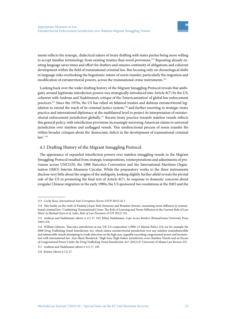ments reflects the synergic, dialectical nature of treaty drafting with states parties being more willing to accept familiar terminology from existing treaties than novel provisions.<sup>113</sup> Repeating already existing language saves times and effort for drafters and ensures continuity of obligations and coherent development within the field of transnational criminal law. But focusing only on chronological shifts in language risks overlooking the hegemonic nature of norm transfer, particularly the migration and modification of extraterritorial powers, across the transnational crime instruments.<sup>114</sup>

Looking back over the wider drafting history of the Migrant Smuggling Protocol reveals that ambiguity around legitimate interdiction powers was strategically introduced into Article 8(7) by the US, coherent with Andreas and Nadelmann's critique of the 'Americanization' of global law enforcement practices.115 Since the 1970s, the US has relied on bilateral treaties and dubious extraterritorial legislation to extend the reach of its criminal justice system,<sup>116</sup> and further resorting to strategic treaty practice and international diplomacy at the multilateral level to project its interpretation of extraterritorial enforcement jurisdiction globally.117 Recent treaty practice towards stateless vessels reflects this general policy, with interdiction provisions increasingly mirroring American claims to universal jurisdiction over stateless and unflagged vessels. This unidirectional process of norm transfer fits within broader critiques about the 'democratic deficit in the development of transnational criminal law'.<sup>118</sup>

#### 4.1 Drafting History of the Migrant Smuggling Protocol

The appearance of expanded interdiction powers over stateless smuggling vessels in the Migrant Smuggling Protocol resulted from strategic transpositions, reinterpretations and adjustments of provisions across UNCLOS, the 1988 Narcotics Convention and the International Maritime Organisation (IMO) Interim Measures Circular. While the preparatory works to the three instruments disclose very little about the origins of the ambiguity, looking slightly further afield reveals the pivotal role of the US in promoting the final text of Article 8(7). In response to domestic concerns about irregular Chinese migration in the early 1990s, the US sponsored two resolutions at the IMO and the

117 Andreas and Nadelmann (above n 11) 17, 105.

118 Boister (above n 11) 27.

<sup>113</sup> Cecily Rose, *International Anti-Corruption Norms* (OUP 2015) ch 3.

<sup>114</sup> This builds on the work of Paulette Lloyd, Beth Simmons and Brandon Stewart, examining norm diffusion in transnational criminal law: 'Combatting Transnational Crime: The Role of Learning and Norm Diffusion in the Current Rule of Law Wave' in Michael Zurn et al. (eds), *Rule of Law Dynamics* (CUP 2012) 154.

<sup>115</sup> Andreas and Nadelmann (above n 11) 17, 105; Ethan Nadelmann, *Cops Across Borders* (Pennsylvania University Press 1993) 470.

<sup>116</sup> William Gilmore, 'Narcotics interdiction at sea: UK-US cooperation' (1989) 13 Marine Policy 219; see for example the 2008 Drug Trafficking Vessel Interdiction Act, which claims extraterritorial jurisdiction over any stateless semisubmersible and submersible vessels attempting to evade detection on the high seas, arguably exceeding congressional power and inconsistent with international law: Ann Marie Brodarick, 'High Seas, High Stakes: Jurisdiction overs Stateless Vessels and an Excess of Congressional Power Under the Drug Trafficking Vessel Interdiction Act' (2012) 67 University of Miami Law Review 255.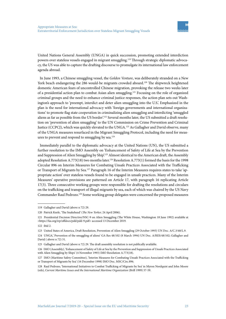United Nations General Assembly (UNGA) in quick succession, promoting extended interdiction powers over stateless vessels engaged in migrant smuggling.<sup>119</sup> Through strategic diplomatic advocacy, the US was able to capture the drafting discourse to promulgate its international law enforcement agenda abroad.

In June 1993, a Chinese smuggling vessel, the *Golden Venture*, was deliberately stranded on a New York beach endangering the 286 would-be migrants crowded aboard.<sup>120</sup> The shipwreck heightened domestic American fears of uncontrolled Chinese migration, provoking the release two weeks later of a presidential action plan to combat Asian alien smuggling.121 Focusing on the role of organized criminal groups and the need to enhance criminal justice responses, the action plan sets out Washington's approach to 'preempt, interdict and deter alien smuggling into the U.S.'. Emphasized in the plan is the need for international advocacy with 'foreign governments and international organizations' to promote flag state cooperation in criminalizing alien smuggling and interdicting 'smuggled aliens as far as possible from the US border'.<sup>122</sup> Several months later, the US submitted a draft resolution on 'prevention of alien smuggling' to the UN Commission on Crime Prevention and Criminal Justice (CCPCJ), which was quickly elevated to the UNGA.123 As Gallagher and David observe, many of the UNGA measures resurfaced in the Migrant Smuggling Protocol, including the need for measures to prevent and respond to smuggling by sea.<sup>124</sup>

Immediately parallel to the diplomatic advocacy at the United Nations (UN), the US submitted a further resolution to the IMO Assembly on 'Enhancement of Safety of Life at Sea by the Prevention and Suppression of Alien Smuggling by Ship'.<sup>125</sup> Almost identical to the American draft, the Assembly adopted Resolution A.773(18) two months later.126 Resolution A.773(1) formed the basis for the 1998 Circular 896 on Interim Measures for Combating Unsafe Practices Associated with the Trafficking or Transport of Migrants by Sea.<sup>127</sup> Paragraph 16 of the Interim Measures requires states to take 'appropriate action' over stateless vessels found to be engaged in unsafe practices. Many of the Interim Measures' operative provisions are patterned on Article 17, with paragraph 16 replicating Article 17(3). Three consecutive working groups were responsible for drafting the resolutions and circulars on the trafficking and transport of illegal migrants by sea, each of which was chaired by the US Navy Commander Raul Pedrozo.128 Some working group delegates were concerned the proposed measures

<sup>119</sup> Gallagher and David (above n 72) 29.

<sup>120</sup> Patrick Keefe, 'The Snakehead' (*The New Yorker,* 24 April 2006).

<sup>121</sup> Presidential Decision Directive/NSC-9 on Alien Smuggling (The White House, Washington 18 June 1992) available at <https://fas.org/irp/offdocs/pdd/pdd-9.pdf> accessed 13 December 2019.

<sup>122</sup> ibid 2.

<sup>123</sup> United States of America, Draft Resolution, Prevention of Alien Smuggling (29 October 1993) UN Doc. A/C.3/48/L.9.

<sup>124</sup> UNGA,' Prevention of the smuggling of aliens' GA Res 48/102 (8 March 1994) UN Doc. A/RES/48/102; Gallagher and David ( above n 72) 31.

<sup>125</sup> Gallagher and David (above n 72) 29. The draft assembly resolution is not publically available.

<sup>126</sup> IMO (Assembly), 'Enhancement of Safety of Life at Sea by the Prevention and Suppression of Unsafe Practices Associated with Alien Smuggling by Ships' (4 November 1993) IMO Resolution A.773(18).

<sup>127</sup> IMO (Maritime Safety Committee), 'Interim Measures for Combating Unsafe Practices Associated with the Trafficking or Transport of Migrants by Sea' (16 December 1998) IMO Doc. MSC/Circ.896.

<sup>128</sup> Raul Pedrozo, 'International Initiatives to Combat Trafficking of Migrants by Sea' in Myron Nordquist and John Moore (eds), *Current Maritime Issues and the International Maritime Organization* (Brill 1999) 57-59.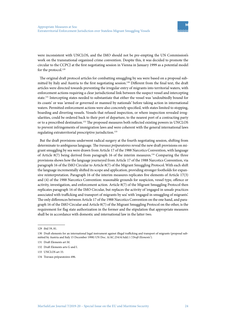were inconsistent with UNCLOS, and the IMO should not be pre-empting the UN Commission's work on the transnational organized crime convention. Despite this, it was decided to promote the circular to the CCPCJ at the first negotiating session in Vienna in January 1999 as a potential model for the protocol.<sup>129</sup>

The original draft protocol articles for combatting smuggling by sea were based on a proposal submitted by Italy and Austria to the first negotiating session.130 Different from the final text, the draft articles were directed towards preventing the irregular entry of migrants into territorial waters, with enforcement actions requiring a clear jurisdictional link between the suspect vessel and intercepting state.131 Intercepting states needed to substantiate that either the vessel was 'undoubtedly bound for its coasts' or was 'armed or governed or manned by nationals' before taking action in international waters. Permitted enforcement actions were also concretely specified, with states limited to stopping, boarding and diverting vessels. Vessels that refused inspection, or where inspection revealed irregularities, could be ordered back to their port of departure, to the nearest port of a contracting party or to a prescribed destination.<sup>132</sup> The proposed measures both reflected existing powers in UNCLOS to prevent infringements of immigration laws and were coherent with the general international laws regulating extraterritorial prescriptive jurisdiction.133

But the draft provisions underwent radical surgery at the fourth negotiating session, shifting from determinate to ambiguous language. The *travaux préparatoires* reveal the new draft provisions on migrant smuggling by sea were drawn from Article 17 of the 1988 Narcotics Convention, with language of Article 8(7) being derived from paragraph 16 of the interim measures.134 Comparing the three provisions shows how the language journeyed from Article 17 of the 1988 Narcotics Convention, via paragraph 16 of the IMO Circular to Article 8(7) of the Migrant Smuggling Protocol.With each shift the language incrementally shifted its scope and application, providing stronger footholds for expansive reinterpretation. Paragraph 16 of the interim measures replicates five elements of Article 17(3) and (4) of the 1988 Narcotics Convention: reasonable grounds for suspicion, vessel type, offence or activity, investigation, and enforcement action. Article 8(7) of the Migrant Smuggling Protocol then replicates paragraph 16 of the IMO Circular, but replaces the activity of 'engaged in unsafe practices associated with trafficking and transport of migrants by sea' with 'engaged in smuggling of migrants'. The only differences between Article 17 of the 1988 Narcotics Convention on the one hand, and paragraph 16 of the IMO Circular and Article 8(7) of the Migrant Smuggling Protocol on the other, is the requirement for flag state authorization in the former and the stipulation that appropriate measures shall be in accordance with domestic and international law in the latter two.

134 Travaux préparatoires 496.

<sup>129</sup> ibid 59, 81.

<sup>130</sup> Draft elements for an international legal instrument against illegal trafficking and transport of migrants (proposal submitted by Austria and Italy 15 December 1998) UN Doc. A/AC.254/4/Add.1 ('*Draft Elements*').

<sup>131</sup> Draft Elements art M.

<sup>132</sup> Draft Elements arts G and I.

<sup>133</sup> UNCLOS art 33.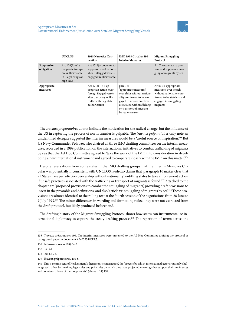|                           | <b>UNCLOS</b>                                                                                        | 1988 Narcotics Con-<br>vention                                                                                                                        | IMO 1998 Circular 896<br><b>Interim Measures</b>                                                                                                                                                         | <b>Migrant Smuggling</b><br>Protocol                                                                                                               |
|---------------------------|------------------------------------------------------------------------------------------------------|-------------------------------------------------------------------------------------------------------------------------------------------------------|----------------------------------------------------------------------------------------------------------------------------------------------------------------------------------------------------------|----------------------------------------------------------------------------------------------------------------------------------------------------|
| Suppression<br>obligation | Art $108(1)+(2)$ :<br>cooperate to sup-<br>press illicit traffic<br>in illegal drugs on<br>high seas | Art $17(2)$ : cooperate to<br>suppress use of nation-<br>al or unflagged vessels<br>engaged in illicit traffic                                        |                                                                                                                                                                                                          | Art 7: cooperate to pre-<br>vent and suppress smug-<br>gling of migrants by sea                                                                    |
| Appropriate<br>measures   |                                                                                                      | Art $17(3)+(4)$ : 'ap-<br>propriate action' over<br>foreign flagged vessels<br>after discovery of illicit<br>traffic with flag State<br>authorization | para 16:<br>'appropriate measures'<br>over ships without nation-<br>ality confirmed to be en-<br>gaged in unsafe practices<br>associated with trafficking<br>or transport of migrants<br>by sea measures | Art $8(7)$ : 'appropriate'<br>measures' over vessels<br>without nationality con-<br>firmed to be stateless and<br>engaged in smuggling<br>migrants |

The *travaux préparatoires* do not indicate the motivation for the radical change, but the influence of the US in capturing the process of norm transfer is palpable. The *travaux préparatoires* only note an unidentified delegate suggested the interim measures would be a 'useful source of inspiration'.<sup>135</sup> But US Navy Commander Pedrozo, who chaired all three IMO drafting committees on the interim measures, recorded in a 1999 publication on the international initiatives to combat trafficking of migrants by sea that the Ad Hoc Committee agreed to 'take the work of the IMO into consideration in developing a new international instrument and agreed to cooperate closely with the IMO on this matter'.136

Despite reservations from some states in the IMO drafting groups that the Interim Measures Circular was potentially inconsistent with UNCLOS, Pedrozo claims that 'paragraph 16 makes clear that all States have jurisdiction over a ship without nationality', entitling states to take enforcement action if unsafe practices associated with the trafficking or transport of migrants is found.137 Attached to the chapter are 'proposed provisions to combat the smuggling of migrants', providing draft provisions to insert in the preamble and definitions, and also 'article xx: smuggling of migrants by sea'.<sup>138</sup> These provisions are almost identical to the rolling text at the fourth session of the negotiations from 28 June to 9 July 1999.139 The minor differences in wording and formatting reflect they were not extracted from the draft protocol, but likely produced beforehand.

The drafting history of the Migrant Smuggling Protocol shows how states can instrumentalize international diplomacy to capture the treaty drafting process.<sup>140</sup> The repetition of terms across the

<sup>135</sup> Travaux préparatoires 496. The interim measures were presented to the Ad Hoc Committee drafting the protocol as background paper in document A/AC.254/CRP.3.

<sup>136</sup> Pedrozo (above n 128) 64-5.

<sup>137</sup> ibid 61.

<sup>138</sup> ibid 66-72.

<sup>139</sup> Travaux préparatoires, 496-8.

<sup>140</sup> This is reminiscent of Koskenniemi's 'hegemonic contestation', the 'process by which international actors routinely challenge each other by invoking legal rules and principles on which they have projected meanings that support their preferences and counteract those of their opponents': (above n 14) 199.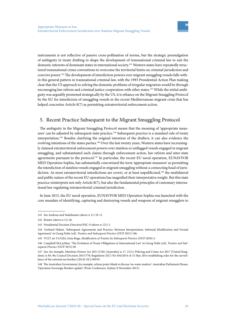instruments is not reflective of passive cross-pollination of norms, but the strategic promulgation of ambiguity in treaty drafting to shape the development of transnational criminal law to suit the domestic interests of dominant states in international society.141 Western states have repeatedly structured transnational crime conventions to overcome the territorial limits on criminal jurisdiction and coercive power.142 The development of interdiction powers over migrant smuggling vessels falls within this general pattern in transnational criminal law, with the 1993 Presidential Action Plan making clear that the US approach to solving the domestic problems of irregular migration would be through encouraging law reform and criminal justice cooperation with other states.143 While the initial ambiguity was arguably promoted strategically by the US, it is reliance on the Migrant Smuggling Protocol by the EU for interdiction of smuggling vessels in the recent Mediterranean migrant crisis that has helped concretize Article 8(7) as permitting extraterritorial enforcement action.

# 5. Recent Practice Subsequent to the Migrant Smuggling Protocol

The ambiguity in the Migrant Smuggling Protocol means that the meaning of 'appropriate measures' can be adjusted by subsequent state practice.144 Subsequent practice is a standard rule of treaty interpretation.145 Besides clarifying the original intention of the drafters, it can also evidence the evolving intentions of the states parties.146 Over the last twenty years, Western states have increasingly claimed extraterritorial enforcement powers over stateless or unflagged vessels engaged in migrant smuggling, and substantiated such claims through enforcement action, law reform and inter-state agreements pursuant to the protocol.<sup>147</sup> In particular, the recent EU naval operation, EUNAVFOR MED Operation Sophia, has substantially concretized the term 'appropriate measures' as permitting the interdiction of stateless vessels engaged in migrant smuggling without a connecting head of jurisdiction. As most extraterritorial interdictions are covert, or at least unpublicized,<sup>148</sup> the multilateral and public nature of the recent EU operations has magnified their interpretative weight. But this state practice reinterprets not only Article 8(7), but also the fundamental principles of customary international law regulating extraterritorial criminal jurisdiction.

In June 2015, the EU naval operation, EUNAVFOR MED Operation Sophia was launched with the core mandate of identifying, capturing and destroying vessels and weapons of migrant smugglers to

<sup>141</sup> See Andreas and Nadelmann (above n 11) 10-11.

<sup>142</sup> Boister (above n 11) 26.

<sup>143</sup> Presidential Decision Directive/NSC-9 (above n 121) 3.

<sup>144</sup> Gerhard Hafner, 'Subsequent Agreements and Practice: Between Interpretation, Informal Modification and Formal Agreement' in Georg Nolte (ed), *Treaties and Subsequent Practice* (OUP 2013) 106.

<sup>145</sup> VCLT art 31(3)(b); Irina Buga, *Modification of Treaties by Subsequent Practice* (OUP 2018) 4.

<sup>146</sup> Campbell McLachlan, 'The Evolution of Treaty Obligations in International Law' in Georg Nolte (ed), *Treaties and Subsequent Practice* (OUP 2013) 69.

<sup>147</sup> See, for example, Maritime Powers Act 2013 (Cth) [Australia] ss 17, 21(1); Policing and Crime Act 2017 [United Kingdom] ss 84, 96; Council Decision 2015/778; Regulation (EU) No 656/2014 of 15 May 2014 establishing rules for the surveillance of the external sea borders [2014] OJ L189/93.

<sup>148</sup> The Australian Government, for example, refuses point-blank to discuss 'on-water matters': Australian Parliament House, 'Operation Sovereign Borders update' (Press Conference, Sydney 8 November 2013).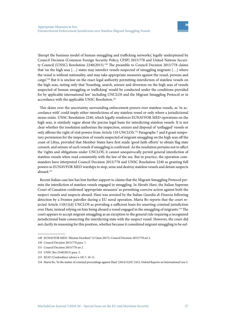'disrupt the business model of human smuggling and trafficking networks', legally underpinned by Council Decision (Common Foreign Security Policy, CFSP) 2015/778 and United Nations Security Council (UNSC) Resolution 2240(2015).<sup>149</sup> The preamble to Council Decision 2015/778 claims that 'on the high seas […] states may interdict vessels suspected of smuggling migrants […] where the vessel is without nationality, and may take appropriate measures against the vessel, persons and cargo'.150 But it is unclear on the exact legal authority permitting interdiction of stateless vessels on the high seas, noting only that 'boarding, search, seizure and diversion on the high seas of vessels suspected of human smuggling or trafficking' would be conducted under the conditions provided for by applicable international law' including UNCLOS and the Migrant Smuggling Protocol or in accordance with the applicable UNSC Resolution.<sup>151</sup>

This skims over the uncertainty surrounding enforcement powers over stateless vessels, as 'in accordance with' could imply either interdictions of any stateless vessel or only where a jurisdictional nexus exists. UNSC Resolution 2240, which legally reinforces EUNAVFOR MED operations on the high seas, is similarly vague about the precise legal basis for interdicting stateless vessels. It is not clear whether the resolution authorizes the inspection, seizure and disposal of 'unflagged' vessels or only affirms the right of visit powers from Article 110 UNCLOS.152 Paragraphs 7 and 8 grant temporary permission for the inspection of vessels suspected of migrant smuggling on the high seas off the coast of Libya, provided that Member States have first made 'good faith efforts' to obtain flag state consent, and seizure of such vessels if smuggling is confirmed. As the resolution pertains not to affect the 'rights and obligations under UNCLOS', it cannot unequivocally permit general interdiction of stateless vessels when read consistently with the law of the sea. But in practice, the operation commanders have interpreted Council Decision 2015/778 and UNSC Resolution 2240 as granting full powers to EUNAVFOR MED warships to stop, seize and destroy stateless vessels and detain suspects aboard.153

Recent Italian case law has lent further support to claims that the Migrant Smuggling Protocol permits the interdiction of stateless vessels engaged in smuggling. In *Harabi Hani*, the Italian Supreme Court of Cassation confirmed 'appropriate measures' as permitting coercive action against both the suspect vessels and suspects aboard. Hani was arrested by the Italian *Guardia di Finanza* following detection by a Frontex patroller during a EU naval operation. Marta Bo reports that the court rejected Article 110(1)(d) UNCLOS as providing a sufficient basis for asserting criminal jurisdiction over Hani, instead relying on him being aboard a vessel engaged in the smuggling of migrants.154 The court appears to accept migrant smuggling as an exception to the general rule requiring a recognized jurisdictional basis connecting the interdicting state with the suspect vessel. However, the court did not clarify its reasoning for this position, whether because it considered migrant smuggling to be suf-

<sup>149</sup> EUNAVFOR MED, 'Mission Factsheet' (13 June 2017); Council Decision 2015/778 art 2.

<sup>150</sup> Council Decision 2015/778 para. 7.

<sup>151</sup> Council Decision 2015/778 art 2.

<sup>152</sup> UNSC Res 2240(2015) para. 5.

<sup>153</sup> EEAF (Credendino) (above n 18) 7, 10-11.

<sup>154</sup> Marta Bo, 'In the matter of criminal proceedings against Hani' (2014) ILDC 2412, Oxford Reports on International Law 5.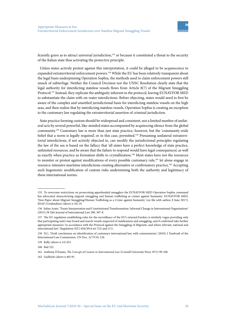

ficiently grave as to attract universal jurisdiction,<sup>155</sup> or because it constituted a threat to the security of the Italian state thus activating the protective principle.

Unless states actively protest against this interpretation, it could be alleged to be acquiescence to expanded extraterritorial enforcement powers.156 While the EU has been relatively transparent about the legal basis underpinning Operation Sophia, the methods used to claim enforcement powers still smack of subterfuge. Neither the Council Decision nor the UNSC Resolution clearly state that the legal authority for interdicting stateless vessels flows from Article 8(7) of the Migrant Smuggling Protocol.157 Instead, they replicate the ambiguity inherent in the protocol, leaving EUNAVFOR MED to substantiate the claim with on-water interdictions. Before objecting, states would need to first be aware of the complex and unsettled jurisdictional basis for interdicting stateless vessels on the high seas, and then realize that by interdicting stateless vessels, Operation Sophia is creating an exception to the customary law regulating the extraterritorial assertion of criminal jurisdiction.

State practice forming custom should be widespread and consistent, not a limited number of unilateral acts by several powerful, like-minded states accompanied by acquiescing silence from the global community.158 Customary law is more than just state practice, however, but the 'community-wide belief that a norm is legally required', or in this case, permitted.<sup>159</sup> Presuming unilateral extraterritorial interdictions, if not actively objected to, can modify the jurisdictional principles regulating the law of the sea is based on the fallacy that 'all states have a perfect knowledge of state practice, unlimited resources, and be aware that the failure to respond would have legal consequences', as well as exactly when practice as formation shifts to crystallization.<sup>160</sup> Most states have not the resources to monitor or protest against modifications of every possible customary rule,<sup>161</sup> let alone engage in resource-intensive maritime interdictions creating alternative or confirmatory practice.<sup>162</sup> Accepting such hegemonic modification of custom risks undermining both the authority and legitimacy of these international norms.

<sup>155</sup> To overcome restrictions on prosecuting apprehended smugglers the EUNAVFOR MED Operation Sophia command has advocated characterizing migrant smuggling and human trafficking as crimes against humanity: EUNAVFOR MED, 'Non-Paper about Migrant Smuggling/Human Trafficking as a Crime against humanity*'* (on file with author, 8 June 2017); EEAF (Credendino) (above n 18) 19.

<sup>156</sup> Julian Arato, 'Treaty Interpretation and Constitutional Transformation: Informal Change in International Organizations' (2013) 38 Yale Journal of International Law 289, 307-8.

<sup>157</sup> The EU regulation establishing rules for the surveillance of the EU's external borders is similarly vague providing only that participating unit's may board and search vessels suspected of statelessness and smuggling, and if confirmed take further appropriate measures 'in accordance with the Protocol against the Smuggling of Migrants, and where relevant, national and international law': Regulation (EU) 656/2014 art 7(2) and (11).

<sup>158</sup> ILC, 'Draft conclusions on identification of customary international law, with commentaries' (2018) 2 Yearbook of the International Law Commission, UN Doc. A/73/10, 126.

<sup>159</sup> Kelly (above n 14) 453.

<sup>160</sup> ibid 522.

<sup>161</sup> Anthony D'Amato, *The Concept of Custom in International Law* (Cornell University Press 1971) 99-100.

<sup>162</sup> Guilfoyle (above n 60) 95.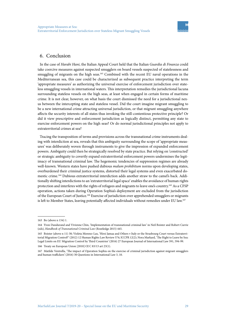## 6. Conclusion

In the case of *Harabi Hani*, the Italian Appeal Court held that the Italian *Guardia di Finanza* could take coercive measures against suspected smugglers on board vessels suspected of statelessness and smuggling of migrants on the high seas.<sup>163</sup> Combined with the recent EU naval operations in the Mediterranean sea, this case could be characterized as subsequent practice interpreting the term 'appropriate measures' as authorizing the universal exercise of enforcement jurisdiction over stateless smuggling vessels in international waters. This interpretation remedies the jurisdictional lacuna surrounding stateless vessels on the high seas, at least when engaged in certain forms of maritime crime. It is not clear, however, on what basis the court dismissed the need for a jurisdictional nexus between the intercepting state and stateless vessel. Did the court imagine migrant smuggling to be a new international crime attracting universal jurisdiction, or that migrant smuggling anywhere affects the security interests of all states thus invoking the still-contentious protective principle? Or did it view prescriptive and enforcement jurisdiction as logically distinct, permitting any state to exercise enforcement powers on the high seas? Or do normal jurisdictional principles not apply to extraterritorial crimes at sea?

Tracing the transposition of terms and provisions across the transnational crime instruments dealing with interdiction at sea, reveals that this ambiguity surrounding the scope of 'appropriate measures' was deliberately woven through instruments to give the impression of expanded enforcement powers. Ambiguity could then be strategically resolved by state practice. But relying on 'constructed' or strategic ambiguity to covertly expand extraterritorial enforcement powers undermines the legitimacy of transnational criminal law. The hegemonic tendencies of suppression regimes are already well-known. Western states have pushed dubious *malum prohibitum* norms upon developing states, overburdened their criminal justice systems, distorted their legal systems and even exacerbated domestic crime.164 Dubious extraterritorial interdiction adds another straw to the camel's back. Additionally shifting interdictions to an 'extraterritorial legal space' enables the avoidance of human rights protection and interferes with the rights of refugees and migrants to leave one's country.165 As a CFSP operation, actions taken during Operation Sophia's deployment are excluded from the jurisdiction of the European Court of Justice.<sup>166</sup> Exercise of jurisdiction over apprehended smugglers or migrants is left to Member States, leaving potentially affected individuals without remedies under EU law.<sup>167</sup>

<sup>163</sup> Bo (above n 154) 1.

<sup>164</sup> Yvon Dandurand and Vivienne Chin, 'Implementation of transnational criminal law' in Neil Boister and Robert Currie (eds), *Handbook of Transnational Criminal Law* (Routledge 2015) 445.

<sup>165</sup> Boister (above n 11) 30; Violeta Moreno-Lax, 'Hirsi Jamaa and Others v Italy or the Strasbourg Court versus Extraterritorial Migration Control?' (2012) 12 Human Rights Law Review 574; ICCPR 12(2); Nora Markard, 'The Right to Leave by Sea: Legal Limits on EU Migration Control by Third Countries' (2016) 27 European Journal of International Law 591, 594-99.

<sup>166</sup> Treaty on European Union [2010] OJ C 83/13 art 23(1).

<sup>167</sup> Matilde Ventrella, 'The impact of Operation Sophia on the exercise of criminal jurisdiction against migrant smugglers and human traffickers' (2016) 30 Questions in International Law 3, 10.